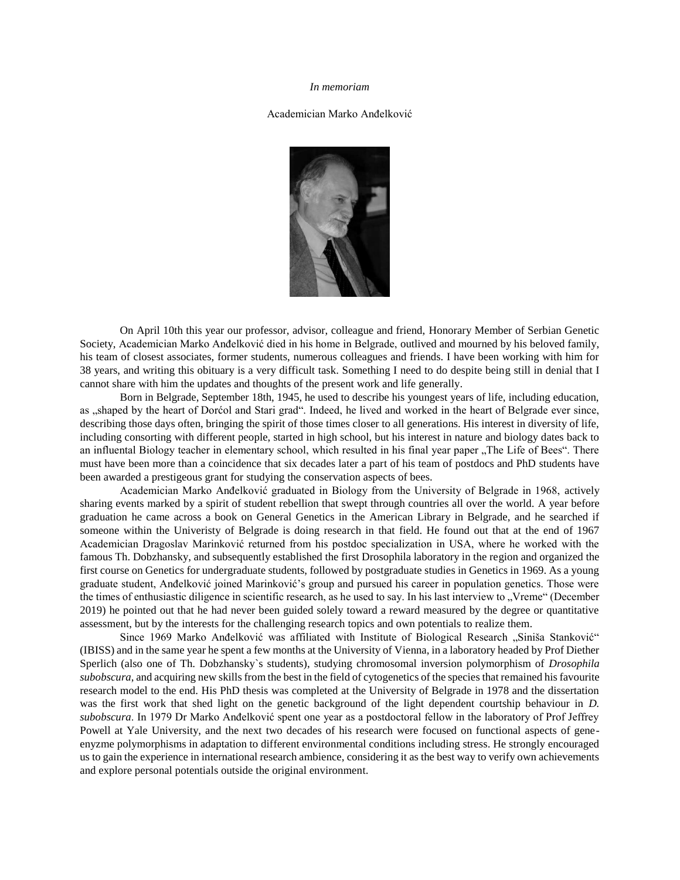## *In memoriam*

## Academician Marko Anđelković



On April 10th this year our professor, advisor, colleague and friend, Honorary Member of Serbian Genetic Society, Academician Marko Anđelković died in his home in Belgrade, outlived and mourned by his beloved family, his team of closest associates, former students, numerous colleagues and friends. I have been working with him for 38 years, and writing this obituary is a very difficult task. Something I need to do despite being still in denial that I cannot share with him the updates and thoughts of the present work and life generally.

Born in Belgrade, September 18th, 1945, he used to describe his youngest years of life, including education, as , shaped by the heart of Dorćol and Stari grad". Indeed, he lived and worked in the heart of Belgrade ever since, describing those days often, bringing the spirit of those times closer to all generations. His interest in diversity of life, including consorting with different people, started in high school, but his interest in nature and biology dates back to an influental Biology teacher in elementary school, which resulted in his final year paper "The Life of Bees". There must have been more than a coincidence that six decades later a part of his team of postdocs and PhD students have been awarded a prestigeous grant for studying the conservation aspects of bees.

Academician Marko Anđelković graduated in Biology from the University of Belgrade in 1968, actively sharing events marked by a spirit of student rebellion that swept through countries all over the world. A year before graduation he came across a book on General Genetics in the American Library in Belgrade, and he searched if someone within the Univeristy of Belgrade is doing research in that field. He found out that at the end of 1967 Academician Dragoslav Marinković returned from his postdoc specialization in USA, where he worked with the famous Th. Dobzhansky, and subsequently established the first Drosophila laboratory in the region and organized the first course on Genetics for undergraduate students, followed by postgraduate studies in Genetics in 1969. As a young graduate student, Anđelković joined Marinković's group and pursued his career in population genetics. Those were the times of enthusiastic diligence in scientific research, as he used to say. In his last interview to "Vreme" (December 2019) he pointed out that he had never been guided solely toward a reward measured by the degree or quantitative assessment, but by the interests for the challenging research topics and own potentials to realize them.

Since 1969 Marko Anđelković was affiliated with Institute of Biological Research "Siniša Stanković" (IBISS) and in the same year he spent a few months at the University of Vienna, in a laboratory headed by Prof Diether Sperlich (also one of Th. Dobzhansky`s students), studying chromosomal inversion polymorphism of *Drosophila subobscura*, and acquiring new skills from the best in the field of cytogenetics of the species that remained his favourite research model to the end. His PhD thesis was completed at the University of Belgrade in 1978 and the dissertation was the first work that shed light on the genetic background of the light dependent courtship behaviour in *D. subobscura*. In 1979 Dr Marko Anđelković spent one year as a postdoctoral fellow in the laboratory of Prof Jeffrey Powell at Yale University, and the next two decades of his research were focused on functional aspects of geneenyzme polymorphisms in adaptation to different environmental conditions including stress. He strongly encouraged us to gain the experience in international research ambience, considering it as the best way to verify own achievements and explore personal potentials outside the original environment.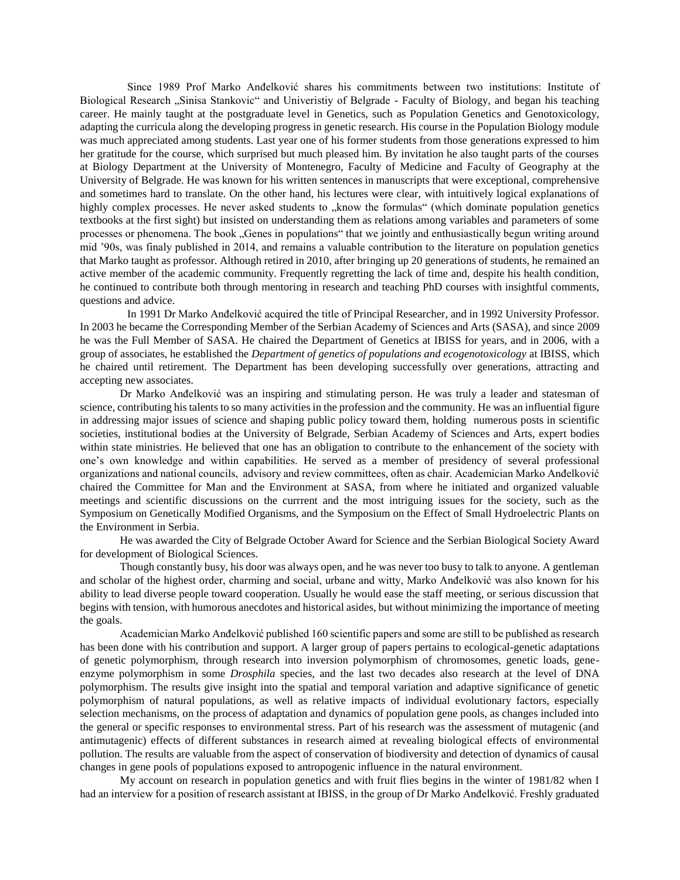Since 1989 Prof Marko Anđelković shares his commitments between two institutions: Institute of Biological Research "Sinisa Stankovic" and Univeristiy of Belgrade - Faculty of Biology, and began his teaching career. He mainly taught at the postgraduate level in Genetics, such as Population Genetics and Genotoxicology, adapting the curricula along the developing progress in genetic research. His course in the Population Biology module was much appreciated among students. Last year one of his former students from those generations expressed to him her gratitude for the course, which surprised but much pleased him. By invitation he also taught parts of the courses at Biology Department at the University of Montenegro, Faculty of Medicine and Faculty of Geography at the University of Belgrade. He was known for his written sentences in manuscripts that were exceptional, comprehensive and sometimes hard to translate. On the other hand, his lectures were clear, with intuitively logical explanations of highly complex processes. He never asked students to "know the formulas" (which dominate population genetics textbooks at the first sight) but insisted on understanding them as relations among variables and parameters of some processes or phenomena. The book "Genes in populations" that we jointly and enthusiastically begun writing around mid '90s, was finaly published in 2014, and remains a valuable contribution to the literature on population genetics that Marko taught as professor. Although retired in 2010, after bringing up 20 generations of students, he remained an active member of the academic community. Frequently regretting the lack of time and, despite his health condition, he continued to contribute both through mentoring in research and teaching PhD courses with insightful comments, questions and advice.

In 1991 Dr Marko Anđelković acquired the title of Principal Researcher, and in 1992 University Professor. In 2003 he became the Corresponding Member of the Serbian Academy of Sciences and Arts (SASA), and since 2009 he was the Full Member of SASA. He chaired the Department of Genetics at IBISS for years, and in 2006, with a group of associates, he established the *Department of genetics of populations and ecogenotoxicology* at IBISS, which he chaired until retirement. The Department has been developing successfully over generations, attracting and accepting new associates.

Dr Marko Anđelković was an inspiring and stimulating person. He was truly a leader and statesman of science, contributing his talents to so many activities in the profession and the community. He was an influential figure in addressing major issues of science and shaping public policy toward them, holding numerous posts in scientific societies, institutional bodies at the University of Belgrade, Serbian Academy of Sciences and Arts, expert bodies within state ministries. He believed that one has an obligation to contribute to the enhancement of the society with one's own knowledge and within capabilities. He served as a member of presidency of several professional organizations and national councils, advisory and review committees, often as chair. Academician Marko Anđelković chaired the Committee for Man and the Environment at SASA, from where he initiated and organized valuable meetings and scientific discussions on the currrent and the most intriguing issues for the society, such as the Symposium on Genetically Modified Organisms, and the Symposium on the Effect of Small Hydroelectric Plants on the Environment in Serbia.

He was awarded the City of Belgrade October Award for Science and the Serbian Biological Society Award for development of Biological Sciences.

Though constantly busy, his door was always open, and he was never too busy to talk to anyone. A gentleman and scholar of the highest order, charming and social, urbane and witty, Marko Anđelković was also known for his ability to lead diverse people toward cooperation. Usually he would ease the staff meeting, or serious discussion that begins with tension, with humorous anecdotes and historical asides, but without minimizing the importance of meeting the goals.

Academician Marko Anđelković published 160 scientific papers and some are still to be published as research has been done with his contribution and support. A larger group of papers pertains to ecological-genetic adaptations of genetic polymorphism, through research into inversion polymorphism of chromosomes, genetic loads, geneenzyme polymorphism in some *Drosphila* species, and the last two decades also research at the level of DNA polymorphism. The results give insight into the spatial and temporal variation and adaptive significance of genetic polymorphism of natural populations, as well as relative impacts of individual evolutionary factors, especially selection mechanisms, on the process of adaptation and dynamics of population gene pools, as changes included into the general or specific responses to environmental stress. Part of his research was the assessment of mutagenic (and antimutagenic) effects of different substances in research aimed at revealing biological effects of environmental pollution. The results are valuable from the aspect of conservation of biodiversity and detection of dynamics of causal changes in gene pools of populations exposed to antropogenic influence in the natural environment.

My account on research in population genetics and with fruit flies begins in the winter of 1981/82 when I had an interview for a position of research assistant at IBISS, in the group of Dr Marko Anđelković. Freshly graduated